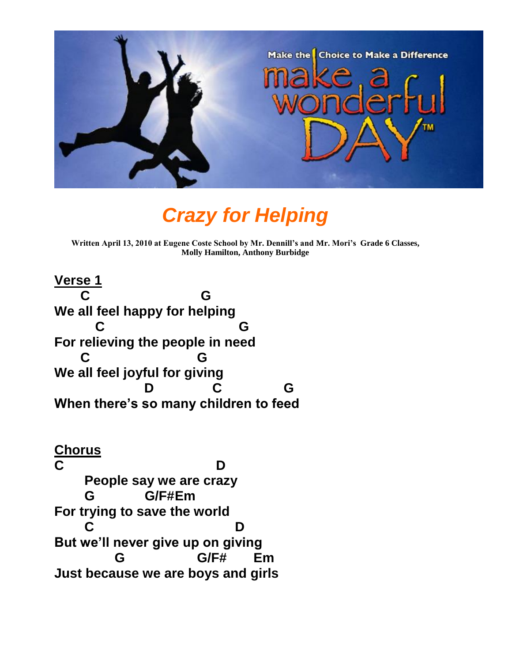

## *Crazy for Helping*

**Written April 13, 2010 at Eugene Coste School by Mr. Dennill's and Mr. Mori's Grade 6 Classes, Molly Hamilton, Anthony Burbidge**

**Verse 1 C G We all feel happy for helping C G For relieving the people in need C G We all feel joyful for giving D C G When there's so many children to feed**

**Chorus C D People say we are crazy G G/F#Em For trying to save the world C D But we'll never give up on giving G G/F# Em Just because we are boys and girls**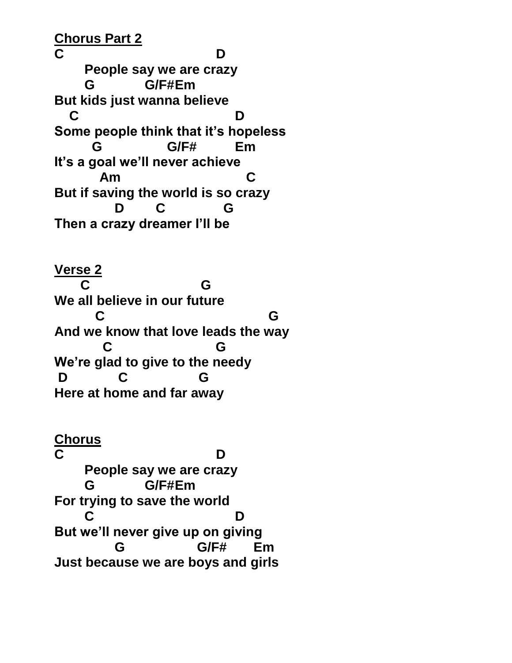**Chorus Part 2 C D People say we are crazy G G/F#Em But kids just wanna believe C D Some people think that it's hopeless G G/F# Em It's a goal we'll never achieve Am C But if saving the world is so crazy D C G Then a crazy dreamer I'll be**

**Verse 2 C G We all believe in our future C G And we know that love leads the way C G We're glad to give to the needy D C G Here at home and far away**

**Chorus C D People say we are crazy G G/F#Em For trying to save the world C D But we'll never give up on giving G G/F# Em Just because we are boys and girls**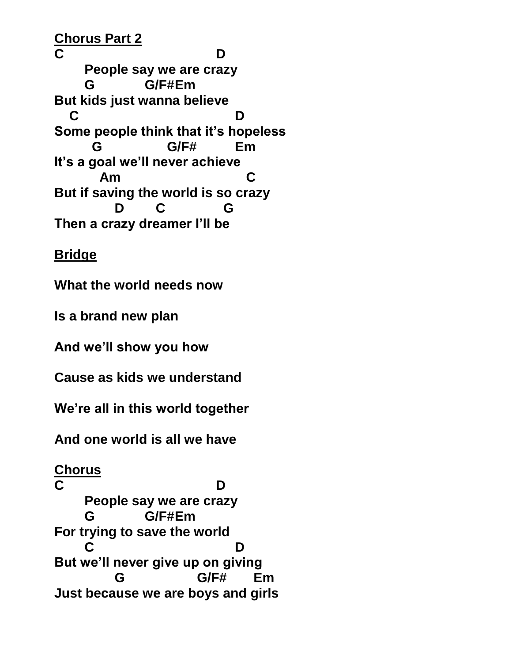**Chorus Part 2 C D People say we are crazy G G/F#Em But kids just wanna believe C D Some people think that it's hopeless G G/F# Em It's a goal we'll never achieve Am C But if saving the world is so crazy D C G Then a crazy dreamer I'll be**

**Bridge**

**What the world needs now**

**Is a brand new plan**

**And we'll show you how**

**Cause as kids we understand**

**We're all in this world together**

**And one world is all we have**

**Chorus** 

**C D People say we are crazy G G/F#Em For trying to save the world C D But we'll never give up on giving G G/F# Em Just because we are boys and girls**